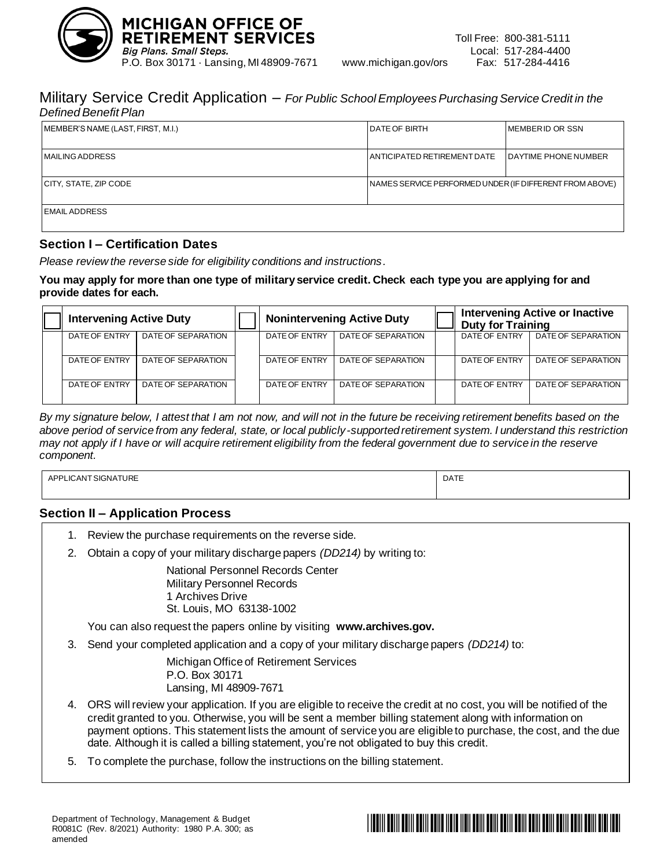

### Military Service Credit Application – *For Public School Employees Purchasing Service Credit in the Defined Benefit Plan*

| MEMBER'S NAME (LAST, FIRST, M.I.)                                                  | <b>DATE OF BIRTH</b>        | <b>IMEMBERID OR SSN</b>     |  |  |
|------------------------------------------------------------------------------------|-----------------------------|-----------------------------|--|--|
| <b>MAILING ADDRESS</b>                                                             | ANTICIPATED RETIREMENT DATE | <b>DAYTIME PHONE NUMBER</b> |  |  |
| CITY, STATE, ZIP CODE<br>  NAMES SERVICE PERFORMED UNDER (IF DIFFERENT FROM ABOVE) |                             |                             |  |  |
| <b>EMAIL ADDRESS</b>                                                               |                             |                             |  |  |

## **Section I – Certification Dates**

*Please review the reverse side for eligibility conditions and instructions.*

### **You may apply for more than one type of military service credit. Check each type you are applying for and provide dates for each.**

|  | <b>Intervening Active Duty</b> |                    |               | <b>Nonintervening Active Duty</b> | <b>Duty for Training</b> | <b>Intervening Active or Inactive</b> |
|--|--------------------------------|--------------------|---------------|-----------------------------------|--------------------------|---------------------------------------|
|  | DATE OF ENTRY                  | DATE OF SEPARATION | DATE OF ENTRY | DATE OF SEPARATION                | DATE OF ENTRY            | DATE OF SEPARATION                    |
|  | DATE OF ENTRY                  | DATE OF SEPARATION | DATE OF ENTRY | DATE OF SEPARATION                | DATE OF ENTRY            | DATE OF SEPARATION                    |
|  | DATE OF ENTRY                  | DATE OF SEPARATION | DATE OF ENTRY | DATE OF SEPARATION                | DATE OF ENTRY            | DATE OF SEPARATION                    |

*By my signature below, I attest that I am not now, and will not in the future be receiving retirement benefits based on the above period of service from any federal, state, or local publicly-supported retirement system. I understand this restriction may not apply if I have or will acquire retirement eligibility from the federal government due to service in the reserve component.*

| PLICANT SIGNATURE<br>APP' | <b>DATE</b> |
|---------------------------|-------------|
|                           |             |

## **Section II – Application Process**

- 1. Review the purchase requirements on the reverse side.
- 2. Obtain a copy of your military discharge papers *(DD214)* by writing to:

National Personnel Records Center Military Personnel Records 1 Archives Drive St. Louis, MO 63138-1002

You can also request the papers online by visiting **www.archives.gov.**

3. Send your completed application and a copy of your military discharge papers *(DD214)* to:

Michigan Office of Retirement Services P.O. Box 30171 Lansing, MI 48909-7671

- 4. ORS will review your application. If you are eligible to receive the credit at no cost, you will be notified of the credit granted to you. Otherwise, you will be sent a member billing statement along with information on payment options. This statement lists the amount of service you are eligible to purchase, the cost, and the due date. Although it is called a billing statement, you're not obligated to buy this credit.
- 5. To complete the purchase, follow the instructions on the billing statement.